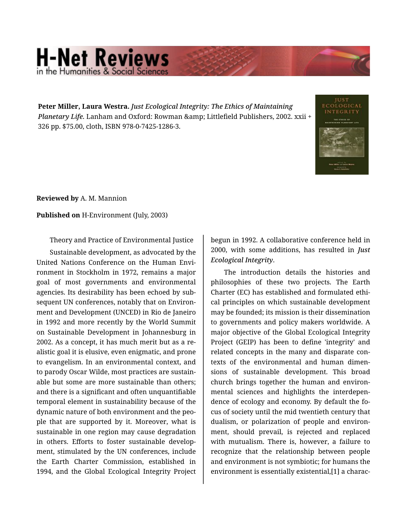## **H-Net Reviews** in the Humanities & Social Scie

**Peter Miller, Laura Westra.** *Just Ecological Integrity: The Ethics of Maintaining Planetary Life.* Lanham and Oxford: Rowman & amp; Littlefield Publishers, 2002. xxii + 326 pp. \$75.00, cloth, ISBN 978-0-7425-1286-3.



**Reviewed by** A. M. Mannion

## **Published on** H-Environment (July, 2003)

Theory and Practice of Environmental Justice

Sustainable development, as advocated by the United Nations Conference on the Human Envi‐ ronment in Stockholm in 1972, remains a major goal of most governments and environmental agencies. Its desirability has been echoed by sub‐ sequent UN conferences, notably that on Environ‐ ment and Development (UNCED) in Rio de Janeiro in 1992 and more recently by the World Summit on Sustainable Development in Johannesburg in 2002. As a concept, it has much merit but as a re‐ alistic goal it is elusive, even enigmatic, and prone to evangelism. In an environmental context, and to parody Oscar Wilde, most practices are sustain‐ able but some are more sustainable than others; and there is a significant and often unquantifiable temporal element in sustainability because of the dynamic nature of both environment and the peo‐ ple that are supported by it. Moreover, what is sustainable in one region may cause degradation in others. Efforts to foster sustainable develop‐ ment, stimulated by the UN conferences, include the Earth Charter Commission, established in 1994, and the Global Ecological Integrity Project

begun in 1992. A collaborative conference held in 2000, with some additions, has resulted in *Just Ecological Integrity*.

The introduction details the histories and philosophies of these two projects. The Earth Charter (EC) has established and formulated ethi‐ cal principles on which sustainable development may be founded; its mission is their dissemination to governments and policy makers worldwide. A major objective of the Global Ecological Integrity Project (GEIP) has been to define 'integrity' and related concepts in the many and disparate con‐ texts of the environmental and human dimen‐ sions of sustainable development. This broad church brings together the human and environ‐ mental sciences and highlights the interdepen‐ dence of ecology and economy. By default the fo‐ cus of society until the mid twentieth century that dualism, or polarization of people and environ‐ ment, should prevail, is rejected and replaced with mutualism. There is, however, a failure to recognize that the relationship between people and environment is not symbiotic; for humans the environment is essentially existential,[1] a charac‐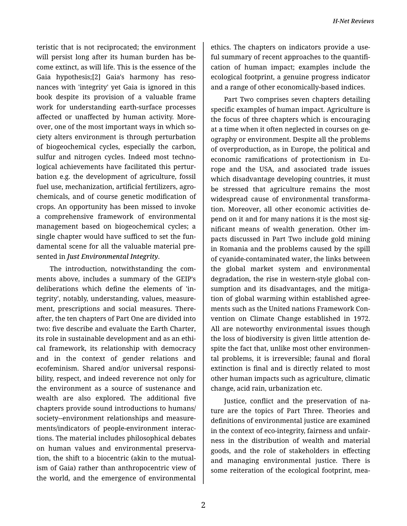teristic that is not reciprocated; the environment will persist long after its human burden has be‐ come extinct, as will life. This is the essence of the Gaia hypothesis;[2] Gaia's harmony has reso‐ nances with 'integrity' yet Gaia is ignored in this book despite its provision of a valuable frame work for understanding earth-surface processes affected or unaffected by human activity. More‐ over, one of the most important ways in which so‐ ciety alters environment is through perturbation of biogeochemical cycles, especially the carbon, sulfur and nitrogen cycles. Indeed most technological achievements have facilitated this pertur‐ bation e.g. the development of agriculture, fossil fuel use, mechanization, artificial fertilizers, agro‐ chemicals, and of course genetic modification of crops. An opportunity has been missed to invoke a comprehensive framework of environmental management based on biogeochemical cycles; a single chapter would have sufficed to set the fun‐ damental scene for all the valuable material pre‐ sented in *Just Environmental Integrity*.

The introduction, notwithstanding the com‐ ments above, includes a summary of the GEIP's deliberations which define the elements of 'in‐ tegrity', notably, understanding, values, measure‐ ment, prescriptions and social measures. There‐ after, the ten chapters of Part One are divided into two: five describe and evaluate the Earth Charter, its role in sustainable development and as an ethi‐ cal framework, its relationship with democracy and in the context of gender relations and ecofeminism. Shared and/or universal responsi‐ bility, respect, and indeed reverence not only for the environment as a source of sustenance and wealth are also explored. The additional five chapters provide sound introductions to humans/ society--environment relationships and measure‐ ments/indicators of people-environment interac‐ tions. The material includes philosophical debates on human values and environmental preserva‐ tion, the shift to a biocentric (akin to the mutual‐ ism of Gaia) rather than anthropocentric view of the world, and the emergence of environmental

ethics. The chapters on indicators provide a use‐ ful summary of recent approaches to the quantifi‐ cation of human impact; examples include the ecological footprint, a genuine progress indicator and a range of other economically-based indices.

Part Two comprises seven chapters detailing specific examples of human impact. Agriculture is the focus of three chapters which is encouraging at a time when it often neglected in courses on ge‐ ography or environment. Despite all the problems of overproduction, as in Europe, the political and economic ramifications of protectionism in Eu‐ rope and the USA, and associated trade issues which disadvantage developing countries, it must be stressed that agriculture remains the most widespread cause of environmental transforma‐ tion. Moreover, all other economic activities de‐ pend on it and for many nations it is the most sig‐ nificant means of wealth generation. Other im‐ pacts discussed in Part Two include gold mining in Romania and the problems caused by the spill of cyanide-contaminated water, the links between the global market system and environmental degradation, the rise in western-style global con‐ sumption and its disadvantages, and the mitigation of global warming within established agree‐ ments such as the United nations Framework Con‐ vention on Climate Change established in 1972. All are noteworthy environmental issues though the loss of biodiversity is given little attention de‐ spite the fact that, unlike most other environmen‐ tal problems, it is irreversible; faunal and floral extinction is final and is directly related to most other human impacts such as agriculture, climatic change, acid rain, urbanization etc.

Justice, conflict and the preservation of na‐ ture are the topics of Part Three. Theories and definitions of environmental justice are examined in the context of eco-integrity, fairness and unfair‐ ness in the distribution of wealth and material goods, and the role of stakeholders in effecting and managing environmental justice. There is some reiteration of the ecological footprint, mea‐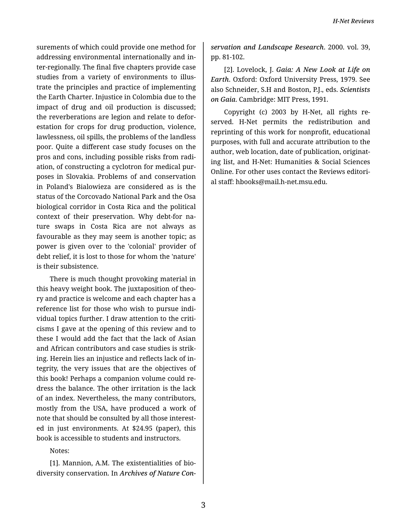surements of which could provide one method for addressing environmental internationally and in‐ ter-regionally. The final five chapters provide case studies from a variety of environments to illus‐ trate the principles and practice of implementing the Earth Charter. Injustice in Colombia due to the impact of drug and oil production is discussed; the reverberations are legion and relate to defor‐ estation for crops for drug production, violence, lawlessness, oil spills, the problems of the landless poor. Quite a different case study focuses on the pros and cons, including possible risks from radi‐ ation, of constructing a cyclotron for medical pur‐ poses in Slovakia. Problems of and conservation in Poland's Bialowieza are considered as is the status of the Corcovado National Park and the Osa biological corridor in Costa Rica and the political context of their preservation. Why debt-for na‐ ture swaps in Costa Rica are not always as favourable as they may seem is another topic; as power is given over to the 'colonial' provider of debt relief, it is lost to those for whom the 'nature' is their subsistence.

There is much thought provoking material in this heavy weight book. The juxtaposition of theo‐ ry and practice is welcome and each chapter has a reference list for those who wish to pursue indi‐ vidual topics further. I draw attention to the criti‐ cisms I gave at the opening of this review and to these I would add the fact that the lack of Asian and African contributors and case studies is strik‐ ing. Herein lies an injustice and reflects lack of in‐ tegrity, the very issues that are the objectives of this book! Perhaps a companion volume could re‐ dress the balance. The other irritation is the lack of an index. Nevertheless, the many contributors, mostly from the USA, have produced a work of note that should be consulted by all those interest‐ ed in just environments. At \$24.95 (paper), this book is accessible to students and instructors.

Notes:

[1]. Mannion, A.M. The existentialities of bio‐ diversity conservation. In *Archives of Nature Con‐*

*servation and Landscape Research*. 2000. vol. 39, pp. 81-102.

[2]. Lovelock, J. *Gaia: A New Look at Life on Earth*. Oxford: Oxford University Press, 1979. See also Schneider, S.H and Boston, P.J., eds. *Scientists on Gaia*. Cambridge: MIT Press, 1991.

Copyright (c) 2003 by H-Net, all rights re‐ served. H-Net permits the redistribution and reprinting of this work for nonprofit, educational purposes, with full and accurate attribution to the author, web location, date of publication, originat‐ ing list, and H-Net: Humanities & Social Sciences Online. For other uses contact the Reviews editori‐ al staff: hbooks@mail.h-net.msu.edu.